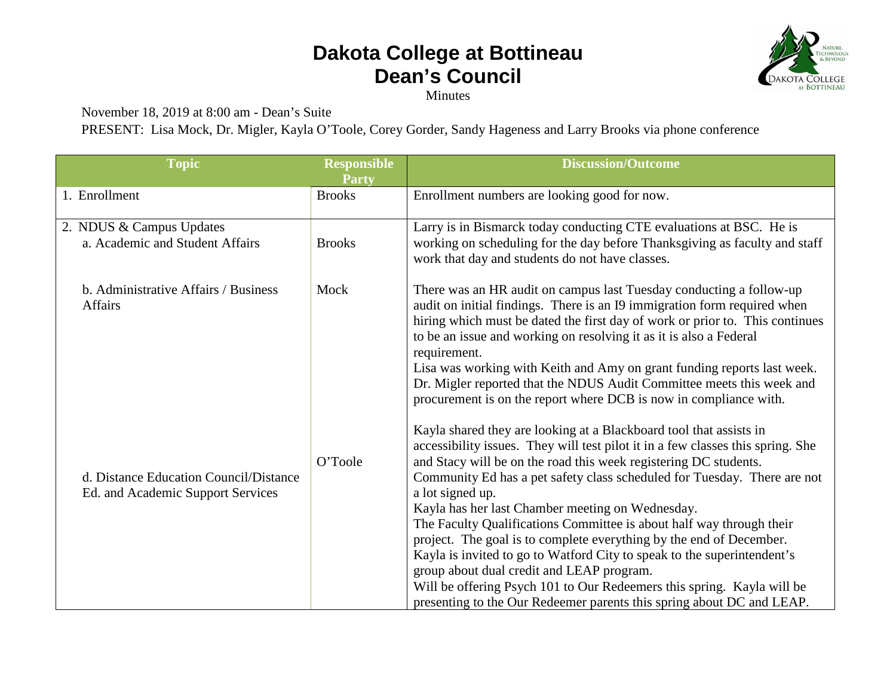## **Dakota College at Bottineau Dean's Council**



Minutes

November 18, 2019 at 8:00 am - Dean's Suite

PRESENT: Lisa Mock, Dr. Migler, Kayla O'Toole, Corey Gorder, Sandy Hageness and Larry Brooks via phone conference

| <b>Topic</b>                                                                | <b>Responsible</b><br><b>Party</b> | <b>Discussion/Outcome</b>                                                                                                                                                                                                                                                                                                                                                                                                                                                                                                                                                                                                                                                                                                                                                                               |
|-----------------------------------------------------------------------------|------------------------------------|---------------------------------------------------------------------------------------------------------------------------------------------------------------------------------------------------------------------------------------------------------------------------------------------------------------------------------------------------------------------------------------------------------------------------------------------------------------------------------------------------------------------------------------------------------------------------------------------------------------------------------------------------------------------------------------------------------------------------------------------------------------------------------------------------------|
| 1. Enrollment                                                               | <b>Brooks</b>                      | Enrollment numbers are looking good for now.                                                                                                                                                                                                                                                                                                                                                                                                                                                                                                                                                                                                                                                                                                                                                            |
| 2. NDUS & Campus Updates<br>a. Academic and Student Affairs                 | <b>Brooks</b>                      | Larry is in Bismarck today conducting CTE evaluations at BSC. He is<br>working on scheduling for the day before Thanksgiving as faculty and staff<br>work that day and students do not have classes.                                                                                                                                                                                                                                                                                                                                                                                                                                                                                                                                                                                                    |
| b. Administrative Affairs / Business<br><b>Affairs</b>                      | Mock                               | There was an HR audit on campus last Tuesday conducting a follow-up<br>audit on initial findings. There is an I9 immigration form required when<br>hiring which must be dated the first day of work or prior to. This continues<br>to be an issue and working on resolving it as it is also a Federal<br>requirement.<br>Lisa was working with Keith and Amy on grant funding reports last week.<br>Dr. Migler reported that the NDUS Audit Committee meets this week and<br>procurement is on the report where DCB is now in compliance with.                                                                                                                                                                                                                                                          |
| d. Distance Education Council/Distance<br>Ed. and Academic Support Services | O'Toole                            | Kayla shared they are looking at a Blackboard tool that assists in<br>accessibility issues. They will test pilot it in a few classes this spring. She<br>and Stacy will be on the road this week registering DC students.<br>Community Ed has a pet safety class scheduled for Tuesday. There are not<br>a lot signed up.<br>Kayla has her last Chamber meeting on Wednesday.<br>The Faculty Qualifications Committee is about half way through their<br>project. The goal is to complete everything by the end of December.<br>Kayla is invited to go to Watford City to speak to the superintendent's<br>group about dual credit and LEAP program.<br>Will be offering Psych 101 to Our Redeemers this spring. Kayla will be<br>presenting to the Our Redeemer parents this spring about DC and LEAP. |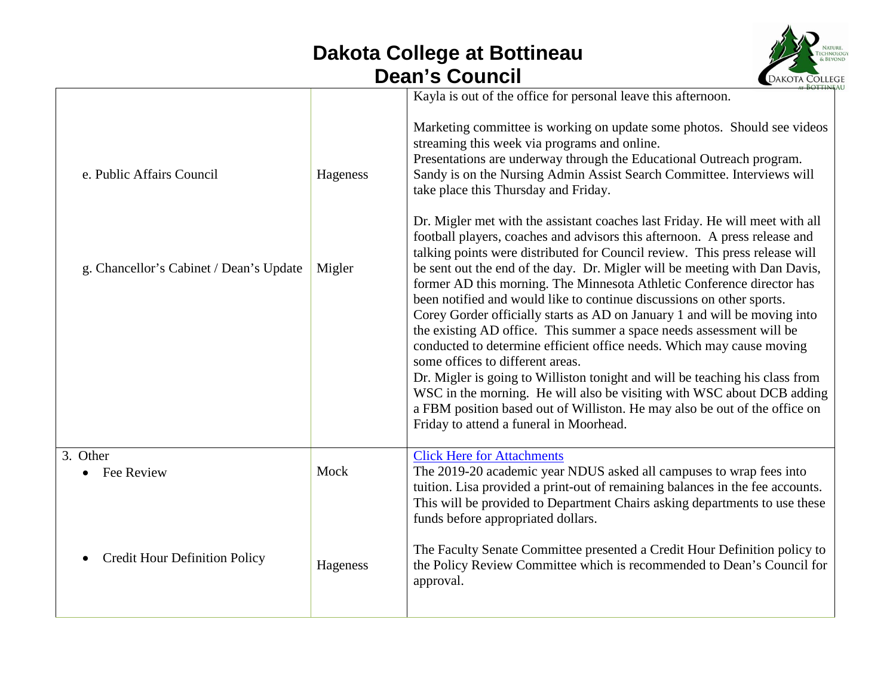## **Dakota College at Bottineau Dean's Council**



|                                         |          | Kayla is out of the office for personal leave this afternoon.                                                                                                                                                                                                                                                                                                                                                                                                                                                                                                                                                                                                                                                                                                                                                                                                                                                                                                                                                                   |
|-----------------------------------------|----------|---------------------------------------------------------------------------------------------------------------------------------------------------------------------------------------------------------------------------------------------------------------------------------------------------------------------------------------------------------------------------------------------------------------------------------------------------------------------------------------------------------------------------------------------------------------------------------------------------------------------------------------------------------------------------------------------------------------------------------------------------------------------------------------------------------------------------------------------------------------------------------------------------------------------------------------------------------------------------------------------------------------------------------|
| e. Public Affairs Council               | Hageness | Marketing committee is working on update some photos. Should see videos<br>streaming this week via programs and online.<br>Presentations are underway through the Educational Outreach program.<br>Sandy is on the Nursing Admin Assist Search Committee. Interviews will<br>take place this Thursday and Friday.                                                                                                                                                                                                                                                                                                                                                                                                                                                                                                                                                                                                                                                                                                               |
| g. Chancellor's Cabinet / Dean's Update | Migler   | Dr. Migler met with the assistant coaches last Friday. He will meet with all<br>football players, coaches and advisors this afternoon. A press release and<br>talking points were distributed for Council review. This press release will<br>be sent out the end of the day. Dr. Migler will be meeting with Dan Davis,<br>former AD this morning. The Minnesota Athletic Conference director has<br>been notified and would like to continue discussions on other sports.<br>Corey Gorder officially starts as AD on January 1 and will be moving into<br>the existing AD office. This summer a space needs assessment will be<br>conducted to determine efficient office needs. Which may cause moving<br>some offices to different areas.<br>Dr. Migler is going to Williston tonight and will be teaching his class from<br>WSC in the morning. He will also be visiting with WSC about DCB adding<br>a FBM position based out of Williston. He may also be out of the office on<br>Friday to attend a funeral in Moorhead. |
| 3. Other<br>Fee Review                  | Mock     | <b>Click Here for Attachments</b><br>The 2019-20 academic year NDUS asked all campuses to wrap fees into<br>tuition. Lisa provided a print-out of remaining balances in the fee accounts.<br>This will be provided to Department Chairs asking departments to use these<br>funds before appropriated dollars.                                                                                                                                                                                                                                                                                                                                                                                                                                                                                                                                                                                                                                                                                                                   |
| <b>Credit Hour Definition Policy</b>    | Hageness | The Faculty Senate Committee presented a Credit Hour Definition policy to<br>the Policy Review Committee which is recommended to Dean's Council for<br>approval.                                                                                                                                                                                                                                                                                                                                                                                                                                                                                                                                                                                                                                                                                                                                                                                                                                                                |